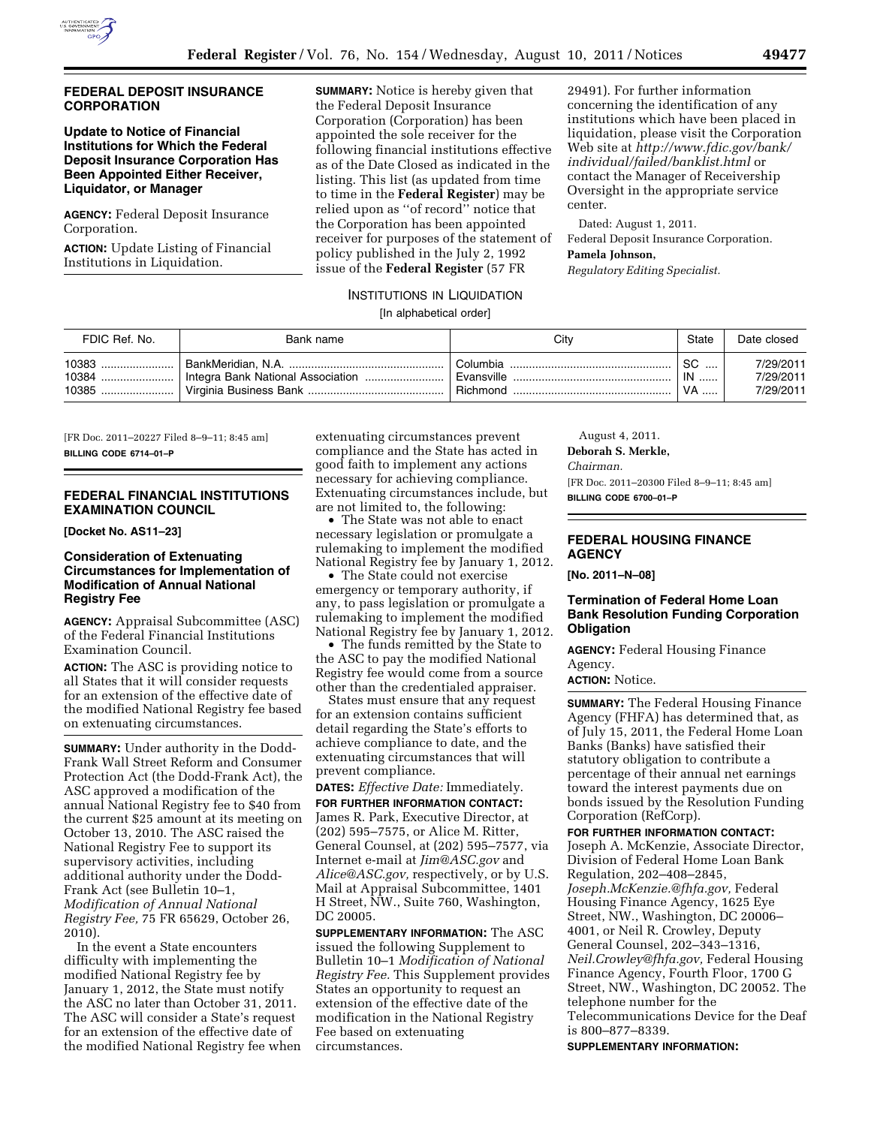

### **FEDERAL DEPOSIT INSURANCE CORPORATION**

# **Update to Notice of Financial Institutions for Which the Federal Deposit Insurance Corporation Has Been Appointed Either Receiver, Liquidator, or Manager**

**AGENCY:** Federal Deposit Insurance Corporation.

**ACTION:** Update Listing of Financial Institutions in Liquidation.

**SUMMARY:** Notice is hereby given that the Federal Deposit Insurance Corporation (Corporation) has been appointed the sole receiver for the following financial institutions effective as of the Date Closed as indicated in the listing. This list (as updated from time to time in the **Federal Register**) may be relied upon as ''of record'' notice that the Corporation has been appointed receiver for purposes of the statement of policy published in the July 2, 1992 issue of the **Federal Register** (57 FR

29491). For further information concerning the identification of any institutions which have been placed in liquidation, please visit the Corporation Web site at *http://www.fdic.gov/bank/ individual/failed/banklist.html* or contact the Manager of Receivership Oversight in the appropriate service center.

Dated: August 1, 2011. Federal Deposit Insurance Corporation. **Pamela Johnson,**  *Regulatory Editing Specialist.* 

### INSTITUTIONS IN LIQUIDATION

### [In alphabetical order]

| FDIC Ref. No.               | Bank name | Citv                    | State                        | Date closed                         |
|-----------------------------|-----------|-------------------------|------------------------------|-------------------------------------|
| 10383<br>$10384$<br>10385 ! |           | ⊢Columbia -<br>Richmond | SC.<br>$\mathsf{IN}$<br>' VA | 7/29/2011<br>7/29/2011<br>7/29/2011 |

[FR Doc. 2011–20227 Filed 8–9–11; 8:45 am] **BILLING CODE 6714–01–P** 

### **FEDERAL FINANCIAL INSTITUTIONS EXAMINATION COUNCIL**

**[Docket No. AS11–23]** 

# **Consideration of Extenuating Circumstances for Implementation of Modification of Annual National Registry Fee**

**AGENCY:** Appraisal Subcommittee (ASC) of the Federal Financial Institutions Examination Council.

**ACTION:** The ASC is providing notice to all States that it will consider requests for an extension of the effective date of the modified National Registry fee based on extenuating circumstances.

**SUMMARY:** Under authority in the Dodd-Frank Wall Street Reform and Consumer Protection Act (the Dodd-Frank Act), the ASC approved a modification of the annual National Registry fee to \$40 from the current \$25 amount at its meeting on October 13, 2010. The ASC raised the National Registry Fee to support its supervisory activities, including additional authority under the Dodd-Frank Act (see Bulletin 10–1, *Modification of Annual National Registry Fee,* 75 FR 65629, October 26, 2010).

In the event a State encounters difficulty with implementing the modified National Registry fee by January 1, 2012, the State must notify the ASC no later than October 31, 2011. The ASC will consider a State's request for an extension of the effective date of the modified National Registry fee when

extenuating circumstances prevent compliance and the State has acted in good faith to implement any actions necessary for achieving compliance. Extenuating circumstances include, but are not limited to, the following:

• The State was not able to enact necessary legislation or promulgate a rulemaking to implement the modified National Registry fee by January 1, 2012.

• The State could not exercise emergency or temporary authority, if any, to pass legislation or promulgate a rulemaking to implement the modified National Registry fee by January 1, 2012.

• The funds remitted by the State to the ASC to pay the modified National Registry fee would come from a source other than the credentialed appraiser.

States must ensure that any request for an extension contains sufficient detail regarding the State's efforts to achieve compliance to date, and the extenuating circumstances that will prevent compliance.

**DATES:** *Effective Date:* Immediately. **FOR FURTHER INFORMATION CONTACT:**  James R. Park, Executive Director, at (202) 595–7575, or Alice M. Ritter, General Counsel, at (202) 595–7577, via Internet e-mail at *Jim@ASC.gov* and *Alice@ASC.gov,* respectively, or by U.S. Mail at Appraisal Subcommittee, 1401 H Street, NW., Suite 760, Washington, DC 20005.

**SUPPLEMENTARY INFORMATION:** The ASC issued the following Supplement to Bulletin 10–1 *Modification of National Registry Fee.* This Supplement provides States an opportunity to request an extension of the effective date of the modification in the National Registry Fee based on extenuating circumstances.

August 4, 2011. **Deborah S. Merkle,**  *Chairman.*  [FR Doc. 2011–20300 Filed 8–9–11; 8:45 am] **BILLING CODE 6700–01–P** 

# **FEDERAL HOUSING FINANCE AGENCY**

**[No. 2011–N–08]** 

# **Termination of Federal Home Loan Bank Resolution Funding Corporation Obligation**

**AGENCY:** Federal Housing Finance Agency.

**ACTION:** Notice.

**SUMMARY:** The Federal Housing Finance Agency (FHFA) has determined that, as of July 15, 2011, the Federal Home Loan Banks (Banks) have satisfied their statutory obligation to contribute a percentage of their annual net earnings toward the interest payments due on bonds issued by the Resolution Funding Corporation (RefCorp).

**FOR FURTHER INFORMATION CONTACT:**  Joseph A. McKenzie, Associate Director, Division of Federal Home Loan Bank Regulation, 202–408–2845, *Joseph.McKenzie.@fhfa.gov,* Federal Housing Finance Agency, 1625 Eye Street, NW., Washington, DC 20006– 4001, or Neil R. Crowley, Deputy General Counsel, 202–343–1316, *Neil.Crowley@fhfa.gov,* Federal Housing Finance Agency, Fourth Floor, 1700 G Street, NW., Washington, DC 20052. The telephone number for the Telecommunications Device for the Deaf is 800–877–8339.

**SUPPLEMENTARY INFORMATION:**